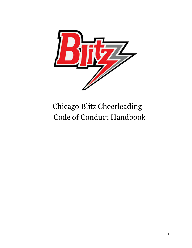

# Chicago Blitz Cheerleading Code of Conduct Handbook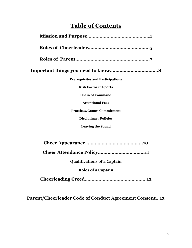# **Table of Contents**

| <b>Prerequisites and Participations</b> |
|-----------------------------------------|
| <b>Risk Factor in Sports</b>            |
| <b>Chain of Command</b>                 |
| <b>Attentional Fees</b>                 |
| <b>Practices/Games Commitment</b>       |
| <b>Disciplinary Policies</b>            |
| <b>Leaving the Squad</b>                |
|                                         |
|                                         |
|                                         |
| <b>Qualifications of a Captain</b>      |
| <b>Roles of a Captain</b>               |
|                                         |

**Parent/Cheerleader Code of Conduct Agreement Consent…13**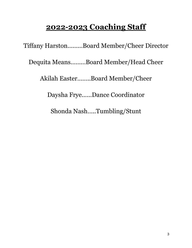# **2022-2023 Coaching Staff**

Tiffany Harston………Board Member/Cheer Director

Dequita Means………Board Member/Head Cheer

Akilah Easter……..Board Member/Cheer

Daysha Frye……Dance Coordinator

Shonda Nash…..Tumbling/Stunt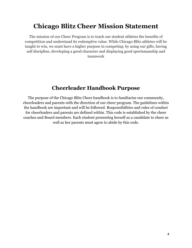# **Chicago Blitz Cheer Mission Statement**

The mission of our Cheer Program is to teach our student athletes the benefits of competition and understand its redemptive value. While Chicago Blitz athletes will be taught to win, we must have a higher purpose in competing: by using our gifts, having self discipline, developing a g0od character and displaying good sportsmanship and teamwork

## **Cheerleader Handbook Purpose**

The purpose of the Chicago Blitz Cheer handbook is to familiarize our community, cheerleaders and parents with the direction of our cheer program. The guidelines within the handbook are important and will be followed. Responsibilities and rules of conduct for cheerleaders and parents are defined within. This code is established by the cheer coaches and Board members. Each student presenting herself as a candidate to cheer as well as her parents must agree to abide by this code.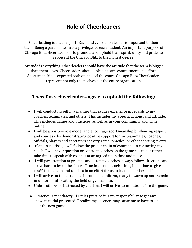## **Role of Cheerleaders**

Cheerleading is a team sport! Each and every cheerleader is important to their team. Being a part of a team is a privilege for each student. An important purpose of Chicago Blitz cheerleaders is to promote and uphold team spirit, unity and pride, to represent the Chicago Blitz to the highest degree.

Attitude is everything. Cheerleaders should have the attitude that the team is bigger than themselves. Cheerleaders should exhibit 100% commitment and effort. Sportsmanship is expected both on and off the court. Chicago Blitz Cheerleaders represent not only themselves but the entire organization.

#### **Therefore, cheerleaders agree to uphold the following:**

- I will conduct myself in a manner that exudes excellence in regards to my coaches, teammates, and others. This includes my speech, actions, and attitude. This includes games and practices, as well as in your community and while online.
- I will be a positive role model and encourage sportsmanship by showing respect and courtesy, by demonstrating positive support for my teammates, coaches, officials, players and spectators at every game, practice, or other sporting events.
- If an issue arises, I will follow the proper chain of command in contacting my coach. I will never question or confront coaches on the game court, but rather take time to speak with coaches at an agreed upon time and place.
- I will pay attention at practice and listen to coaches, always follow directions and strive hard to learn the cheers. Practice is not a social time, but a time to give 100% to the team and coaches in an effort for us to become our best self.
- I will arrive on time to games in complete uniform, ready to warm up and remain in uniform until exiting the field or gymnasium.
- Unless otherwise instructed by coaches, I will arrive 30 minutes before the game.
- Practice is mandatory. If I miss practice,it is my responsibility to get any new material presented, I realize my absence may cause me to have to sit out the next game.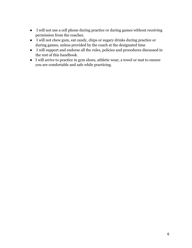- I will not use a cell phone during practice or during games without receiving permission from the coaches.
- I will not chew gum, eat candy, chips or sugary drinks during practice or during games, unless provided by the coach at the designated time
- I will support and endorse all the rules, policies and procedures discussed in the rest of this handbook.
- I will arrive to practice in gym shoes, athletic wear, a towel or mat to ensure you are comfortable and safe while practicing.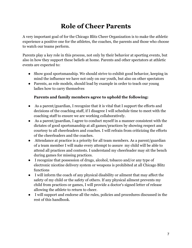# **Role of Cheer Parents**

A very important goal of for the Chicago Blitz Cheer Organization is to make the athletic experience a positive one for the athletes, the coaches, the parents and those who choose to watch our teams perform.

Parents play a key role in this process, not only by their behavior at sporting events, but also in how they support these beliefs at home. Parents and other spectators at athletic events are expected to:

- Show good sportsmanship. We should strive to exhibit good behavior, keeping in mind the influence we have not only on our youth, but also on other spectators
- Parents, as role models, should lead by example in order to teach our young ladies how to carry themselves

#### **Parents and family members agree to uphold the following:**

- As a parent/guardian, I recognize that it is vital that I support the efforts and decisions of the coaching staff, if I disagree I will schedule time to meet with the coaching staff to ensure we are working collaboratively.
- As a parent/guardian, I agree to conduct myself in a manner consistent with the dictates of good sportsmanship at all games/practices by showing respect and courtesy to all cheerleaders and coaches. I will refrain from criticizing the efforts of the cheerleaders and the coaches.
- Attendance at practice is a priority for all team members. As a parent/guardian of a team member I will make every attempt to assure my child will be able to attend all practices and contests. I understand my cheerleader may sit the bench during games for missing practices.
- I recognize that possession of drugs, alcohol, tobacco and/or any type of electronic nicotine delivery system or weapons is prohibited at all Chicago Blitz functions
- I will inform the coach of any physical disability or ailment that may affect the safety of my child or the safety of others. If any physical ailment prevents my child from practices or games, I will provide a doctor's signed letter of release allowing the athlete to return to cheer.
- I will support and endorse all the rules, policies and procedures discussed in the rest of this handbook.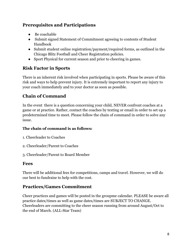## **Prerequisites and Participations**

- Be coachable
- Submit signed Statement of Commitment agreeing to contents of Student Handbook
- Submit student online registration/payment/required forms, as outlined in the Chicago Blitz Football and Cheer Registration policies.
- Sport Physical for current season and prior to cheering in games.

## **Risk Factor in Sports**

There is an inherent risk involved when participating in sports. Please be aware of this risk and ways to help prevent injury. It is extremely important to report any injury to your coach immediately and to your doctor as soon as possible.

## **Chain of Command**

In the event there is a question concerning your child, NEVER confront coaches at a game or at practice. Rather, contact the coaches by texting or email in order to set up a predetermined time to meet. Please follow the chain of command in order to solve any issue.

#### **The chain of command is as follows:**

- 1. Cheerleader to Coaches
- 2. Cheerleader/Parent to Coaches
- 3. Cheerleader/Parent to Board Member

#### **Fees**

There will be additional fees for competitions, camps and travel. However, we will do our best to fundraise to help with the cost.

## **Practices/Games Commitment**

Cheer practices and games will be posted in the groupme calendar. PLEASE be aware all practice dates/times as well as game dates/times are SUBJECT TO CHANGE. Cheerleaders are committing to the cheer season running from around August/Oct to the end of March. (ALL-Star Team)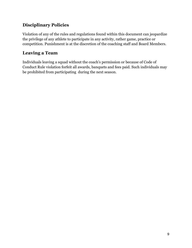## **Disciplinary Policies**

Violation of any of the rules and regulations found within this document can jeopardize the privilege of any athlete to participate in any activity, rather game, practice or competition. Punishment is at the discretion of the coaching staff and Board Members.

## **Leaving a Team**

Individuals leaving a squad without the coach's permission or because of Code of Conduct Rule violation forfeit all awards, banquets and fees paid. Such individuals may be prohibited from participating during the next season.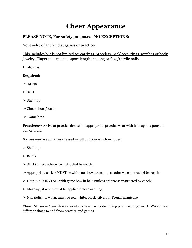# **Cheer Appearance**

#### **PLEASE NOTE, For safety purposes--NO EXCEPTIONS:**

No jewelry of any kind at games or practices.

This includes but is not limited to: earrings, bracelets, necklaces, rings, watches or body jewelry. Fingernails must be sport length: no long or fake/acrylic nails

#### **Uniforms**

#### **Required:**

- $\triangleright$  Briefs
- $\triangleright$  Skirt
- $\triangleright$  Shell top
- $\triangleright$  Cheer shoes/socks
- $\triangleright$  Game bow

**Practices--** Arrive at practice dressed in appropriate practice wear with hair up in a ponytail, bun or braid.

**Games--**Arrive at games dressed in full uniform which includes:

- $\triangleright$  Shell top
- $\triangleright$  Briefs
- $\triangleright$  Skirt (unless otherwise instructed by coach)
- $\geq$  Appropriate socks (MUST be white no show socks unless otherwise instructed by coach)
- $\triangleright$  Hair in a PONYTAIL with game bow in hair (unless otherwise instructed by coach)
- $\triangleright$  Make up, if worn, must be applied before arriving.
- ➢ Nail polish, if worn, must be red, white, black, silver, or French manicure

**Cheer Shoes--**Cheer shoes are only to be worn inside during practice or games. ALWAYS wear different shoes to and from practice and games.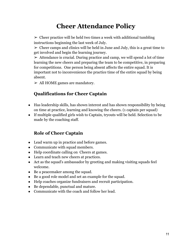# **Cheer Attendance Policy**

 $\geq$  Cheer practice will be held two times a week with additional tumbling instructions beginning the last week of July.

 $\geq$  Cheer camps and clinics will be held in June and July, this is a great time to get involved and begin the learning journey.

 $\geq$  Attendance is crucial. During practice and camp, we will spend a lot of time learning the new cheers and preparing the team to be competitive, in preparing for competitions. One person being absent affects the entire squad. It is important not to inconvenience the practice time of the entire squad by being absent.

 $\triangleright$  All HOME games are mandatory.

#### **Qualifications for Cheer Captain**

- Has leadership skills, has shown interest and has shown responsibility by being on time at practice, learning and knowing the cheers. (1 captain per squad)
- If multiple qualified girls wish to Captain, tryouts will be held. Selection to be made by the coaching staff.

## **Role of Cheer Captain**

- Lead warm up in practice and before games.
- Communicate with squad members.
- Help coordinate calling on Cheers at games.
- Learn and teach new cheers at practices.
- Act as the squad's ambassador by greeting and making visiting squads feel welcome.
- Be a peacemaker among the squad.
- Be a good role model and set an example for the squad.
- Help coaches organize fundraisers and recruit participation.
- Be dependable, punctual and mature.
- Communicate with the coach and follow her lead.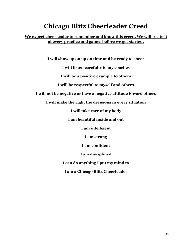# **Chicago Blitz Cheerleader Creed**

#### **We expect cheerleader to remember and know this creed. We will recite it at every practice and games before we get started.**

**I will show up on up on time and be ready to cheer**

**I will listen carefully to my coaches**

**I will be a positive example to others**

**I will be respectful to myself and others**

**I will not be negative or have a negative attitude toward others**

**I will make the right the decisions in every situation**

**I will take care of my body**

**I am beautiful inside and out**

**I am intelligent**

**I am strong**

**I am confident**

**I am disciplined**

**I can do anything I put my mind to**

**I am a Chicago Blitz Cheerleader**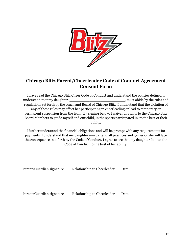

## **Chicago Blitz Parent/Cheerleader Code of Conduct Agreement Consent Form**

I have read the Chicago Blitz Cheer Code of Conduct and understand the policies defined. I understand that my daughter,  $\blacksquare$ , must abide by the rules and regulations set forth by the coach and Board of Chicago Blitz. I understand that the violation of any of these rules may affect her participating in cheerleading or lead to temporary or permanent suspension from the team. By signing below, I waiver all rights to the Chicago Blitz Board Members to guide myself and our child, in the sports participated in, to the best of their ability.

I further understand the financial obligations and will be prompt with any requirements for payments. I understand that my daughter must attend all practices and games or she will face the consequences set forth by the Code of Conduct. I agree to see that my daughter follows the Code of Conduct to the best of her ability.

| Parent/Guardian signature | Relationship to Cheerleader | Date |
|---------------------------|-----------------------------|------|
|                           |                             |      |
|                           |                             |      |
| Parent/Guardian signature | Relationship to Cheerleader | Date |

\_\_\_\_\_\_\_\_\_\_\_\_\_\_\_\_\_\_\_\_\_ \_\_\_\_\_\_\_\_\_\_\_\_\_\_\_\_\_\_\_\_\_ \_\_\_\_\_\_\_\_\_\_\_\_